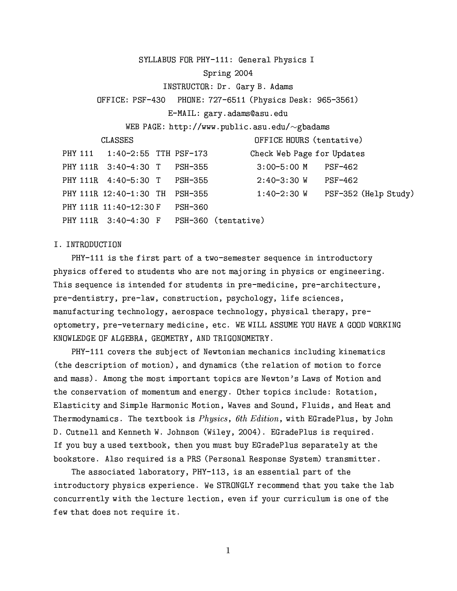SYLLABUS FOR PHY-111: General Physics I

# Spring 2004

INSTRUCTOR: Dr. Gary B. Adams

OFFICE: PSF-430 PHONE: 727-6511 (Physics Desk: 965-3561)

E-MAIL: gary.adams@asu.edu

WEB PAGE: http://www.public.asu.edu/ $\sim$ gbadams

**CLASSES** 

OFFICE HOURS (tentative)

| PHY 111 1:40-2:55 TTH PSF-173  |  | Check Web Page for Updates               |                                  |
|--------------------------------|--|------------------------------------------|----------------------------------|
| PHY 111R 3:40-4:30 T PSH-355   |  | $3:00-5:00$ M $PSF-462$                  |                                  |
| PHY 111R 4:40-5:30 T PSH-355   |  | 2:40-3:30 W                              | PSF-462                          |
| PHY 111R 12:40-1:30 TH PSH-355 |  |                                          | 1:40-2:30 W PSF-352 (Help Study) |
| PHY 111R 11:40-12:30 F PSH-360 |  |                                          |                                  |
|                                |  | PHY 111R 3:40-4:30 F PSH-360 (tentative) |                                  |

## I. INTRODUCTION

PHY-111 is the first part of a two-semester sequence in introductory physics offered to students who are not majoring in physics or engineering. This sequence is intended for students in pre-medicine, pre-architecture, pre-dentistry, pre-law, construction, psychology, life sciences, manufacturing technology, aerospace technology, physical therapy, preoptometry, pre-veternary medicine, etc. WE WILL ASSUME YOU HAVE A GOOD WORKING KNOWLEDGE OF ALGEBRA, GEOMETRY, AND TRIGONOMETRY.

PHY-111 covers the subject of Newtonian mechanics including kinematics (the description of motion), and dynamics (the relation of motion to force and mass). Among the most important topics are Newton's Laws of Motion and the conservation of momentum and energy. Other topics include: Rotation, Elasticity and Simple Harmonic Motion, Waves and Sound, Fluids, and Heat and Thermodynamics. The textbook is *Physics*, 6th Edition, with EGradePlus, by John D. Cutnell and Kenneth W. Johnson (Wiley, 2004). EGradePlus is required. If you buy a used textbook, then you must buy EGradePlus separately at the bookstore. Also required is a PRS (Personal Response System) transmitter.

The associated laboratory, PHY-113, is an essential part of the introductory physics experience. We STRONGLY recommend that you take the lab concurrently with the lecture lection, even if your curriculum is one of the few that does not require it.

 $\mathbf{1}$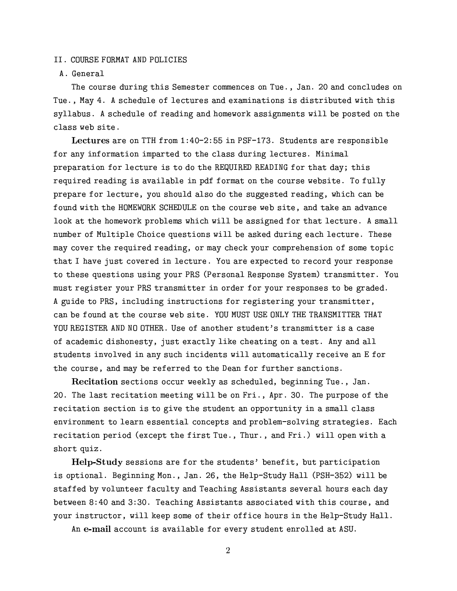#### II. COURSE FORMAT AND POLICIES

# A. General

The course during this Semester commences on Tue., Jan. 20 and concludes on Tue., May 4. A schedule of lectures and examinations is distributed with this syllabus. A schedule of reading and homework assignments will be posted on the class web site.

Lectures are on TTH from 1:40-2:55 in PSF-173. Students are responsible for any information imparted to the class during lectures. Minimal preparation for lecture is to do the REQUIRED READING for that day; this required reading is available in pdf format on the course website. To fully prepare for lecture, you should also do the suggested reading, which can be found with the HOMEWORK SCHEDULE on the course web site, and take an advance look at the homework problems which will be assigned for that lecture. A small number of Multiple Choice questions will be asked during each lecture. These may cover the required reading, or may check your comprehension of some topic that I have just covered in lecture. You are expected to record your response to these questions using your PRS (Personal Response System) transmitter. You must register your PRS transmitter in order for your responses to be graded. A guide to PRS, including instructions for registering your transmitter, can be found at the course web site. YOU MUST USE ONLY THE TRANSMITTER THAT YOU REGISTER AND NO OTHER. Use of another student's transmitter is a case of academic dishonesty, just exactly like cheating on a test. Any and all students involved in any such incidents will automatically receive an E for the course, and may be referred to the Dean for further sanctions.

Recitation sections occur weekly as scheduled, beginning Tue., Jan. 20. The last recitation meeting will be on Fri., Apr. 30. The purpose of the recitation section is to give the student an opportunity in a small class environment to learn essential concepts and problem-solving strategies. Each recitation period (except the first Tue., Thur., and Fri.) will open with a short quiz.

Help-Study sessions are for the students' benefit, but participation is optional. Beginning Mon., Jan. 26, the Help-Study Hall (PSH-352) will be staffed by volunteer faculty and Teaching Assistants several hours each day between 8:40 and 3:30. Teaching Assistants associated with this course, and your instructor, will keep some of their office hours in the Help-Study Hall.

An e-mail account is available for every student enrolled at ASU.

 $\overline{2}$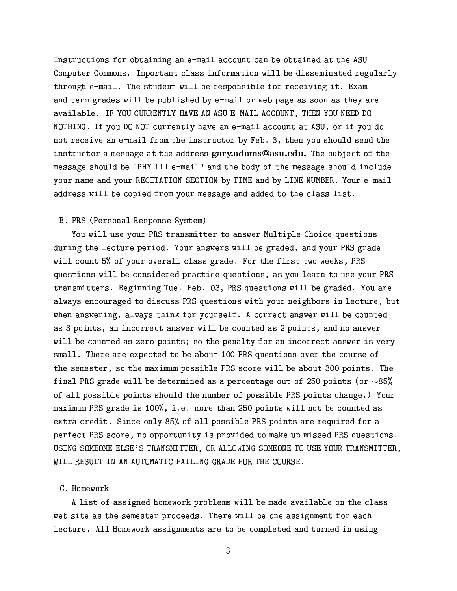Instructions for obtaining an e-mail account can be obtained at the ASU Computer Commons. Important class information will be disseminated regularly through e-mail. The student will be responsible for receiving it. Exam and term grades will be published by e-mail or web page as soon as they are available. IF YOU CURRENTLY HAVE AN ASU E-MAIL ACCOUNT, THEN YOU NEED DO NOTHING. If you DO NOT currently have an e-mail account at ASU, or if you do not receive an e-mail from the instructor by Feb. 3, then you should send the instructor a message at the address gary.adams@asu.edu. The subject of the message should be "PHY 111 e-mail" and the body of the message should include your name and your RECITATION SECTION by TIME and by LINE NUMBER. Your e-mail address will be copied from your message and added to the class list.

## B. PRS (Personal Response System)

You will use your PRS transmitter to answer Multiple Choice questions during the lecture period. Your answers will be graded, and your PRS grade will count 5% of your overall class grade. For the first two weeks, PRS questions will be considered practice questions, as you learn to use your PRS transmitters. Beginning Tue. Feb. 03, PRS questions will be graded. You are always encouraged to discuss PRS questions with your neighbors in lecture, but when answering, always think for yourself. A correct answer will be counted as 3 points, an incorrect answer will be counted as 2 points, and no answer will be counted as zero points; so the penalty for an incorrect answer is very small. There are expected to be about 100 PRS questions over the course of the semester, so the maximum possible PRS score will be about 300 points. The final PRS grade will be determined as a percentage out of 250 points (or  $\sim$ 85% of all possible points should the number of possible PRS points change.) Your maximum PRS grade is 100%, i.e. more than 250 points will not be counted as extra credit. Since only 85% of all possible PRS points are required for a perfect PRS score, no opportunity is provided to make up missed PRS questions. USING SOMEOME ELSE'S TRANSMITTER, OR ALLOWING SOMEONE TO USE YOUR TRANSMITTER, WILL RESULT IN AN AUTOMATIC FAILING GRADE FOR THE COURSE.

#### C. Homework

A list of assigned homework problems will be made available on the class web site as the semester proceeds. There will be one assignment for each lecture. All Homework assignments are to be completed and turned in using

3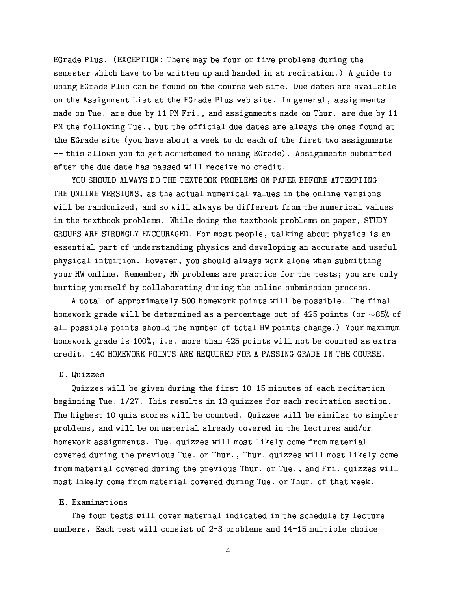EGrade Plus. (EXCEPTION: There may be four or five problems during the semester which have to be written up and handed in at recitation.) A guide to using EGrade Plus can be found on the course web site. Due dates are available on the Assignment List at the EGrade Plus web site. In general, assignments made on Tue. are due by 11 PM Fri., and assignments made on Thur. are due by 11 PM the following Tue., but the official due dates are always the ones found at the EGrade site (you have about a week to do each of the first two assignments -- this allows you to get accustomed to using EGrade). Assignments submitted after the due date has passed will receive no credit.

YOU SHOULD ALWAYS DO THE TEXTBOOK PROBLEMS ON PAPER BEFORE ATTEMPTING THE ONLINE VERSIONS, as the actual numerical values in the online versions will be randomized, and so will always be different from the numerical values in the textbook problems. While doing the textbook problems on paper, STUDY GROUPS ARE STRONGLY ENCOURAGED. For most people, talking about physics is an essential part of understanding physics and developing an accurate and useful physical intuition. However, you should always work alone when submitting your HW online. Remember, HW problems are practice for the tests; you are only hurting yourself by collaborating during the online submission process.

A total of approximately 500 homework points will be possible. The final homework grade will be determined as a percentage out of 425 points (or  $\sim$ 85% of all possible points should the number of total HW points change.) Your maximum homework grade is 100%, i.e. more than 425 points will not be counted as extra credit. 140 HOMEWORK POINTS ARE REQUIRED FOR A PASSING GRADE IN THE COURSE.

## D. Quizzes

Quizzes will be given during the first 10-15 minutes of each recitation beginning Tue. 1/27. This results in 13 quizzes for each recitation section. The highest 10 quiz scores will be counted. Quizzes will be similar to simpler problems, and will be on material already covered in the lectures and/or homework assignments. Tue. quizzes will most likely come from material covered during the previous Tue. or Thur., Thur. quizzes will most likely come from material covered during the previous Thur. or Tue., and Fri. quizzes will most likely come from material covered during Tue. or Thur. of that week.

### E. Examinations

The four tests will cover material indicated in the schedule by lecture numbers. Each test will consist of 2-3 problems and 14-15 multiple choice

 $\overline{4}$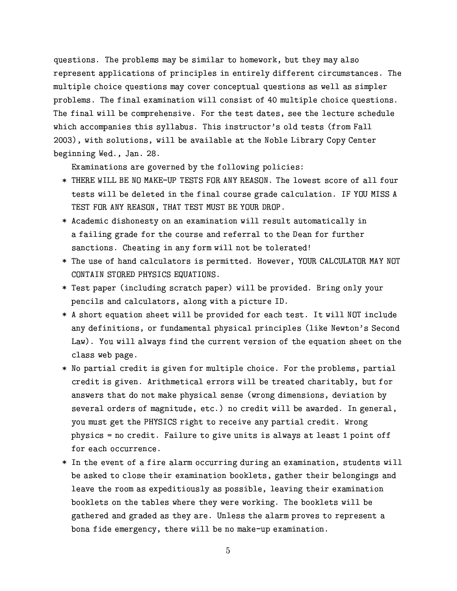questions. The problems may be similar to homework, but they may also represent applications of principles in entirely different circumstances. The multiple choice questions may cover conceptual questions as well as simpler problems. The final examination will consist of 40 multiple choice questions. The final will be comprehensive. For the test dates, see the lecture schedule which accompanies this syllabus. This instructor's old tests (from Fall 2003), with solutions, will be available at the Noble Library Copy Center beginning Wed., Jan. 28.

Examinations are governed by the following policies:

- \* THERE WILL BE NO MAKE-UP TESTS FOR ANY REASON. The lowest score of all four tests will be deleted in the final course grade calculation. IF YOU MISS A TEST FOR ANY REASON, THAT TEST MUST BE YOUR DROP.
- \* Academic dishonesty on an examination will result automatically in a failing grade for the course and referral to the Dean for further sanctions. Cheating in any form will not be tolerated!
- \* The use of hand calculators is permitted. However, YOUR CALCULATOR MAY NOT CONTAIN STORED PHYSICS EQUATIONS.
- \* Test paper (including scratch paper) will be provided. Bring only your pencils and calculators, along with a picture ID.
- \* A short equation sheet will be provided for each test. It will NOT include any definitions, or fundamental physical principles (like Newton's Second Law). You will always find the current version of the equation sheet on the class web page.
- \* No partial credit is given for multiple choice. For the problems, partial credit is given. Arithmetical errors will be treated charitably, but for answers that do not make physical sense (wrong dimensions, deviation by several orders of magnitude, etc.) no credit will be awarded. In general, you must get the PHYSICS right to receive any partial credit. Wrong physics = no credit. Failure to give units is always at least 1 point off for each occurrence.
- \* In the event of a fire alarm occurring during an examination, students will be asked to close their examination booklets, gather their belongings and leave the room as expeditiously as possible, leaving their examination booklets on the tables where they were working. The booklets will be gathered and graded as they are. Unless the alarm proves to represent a bona fide emergency, there will be no make-up examination.

 $\overline{5}$